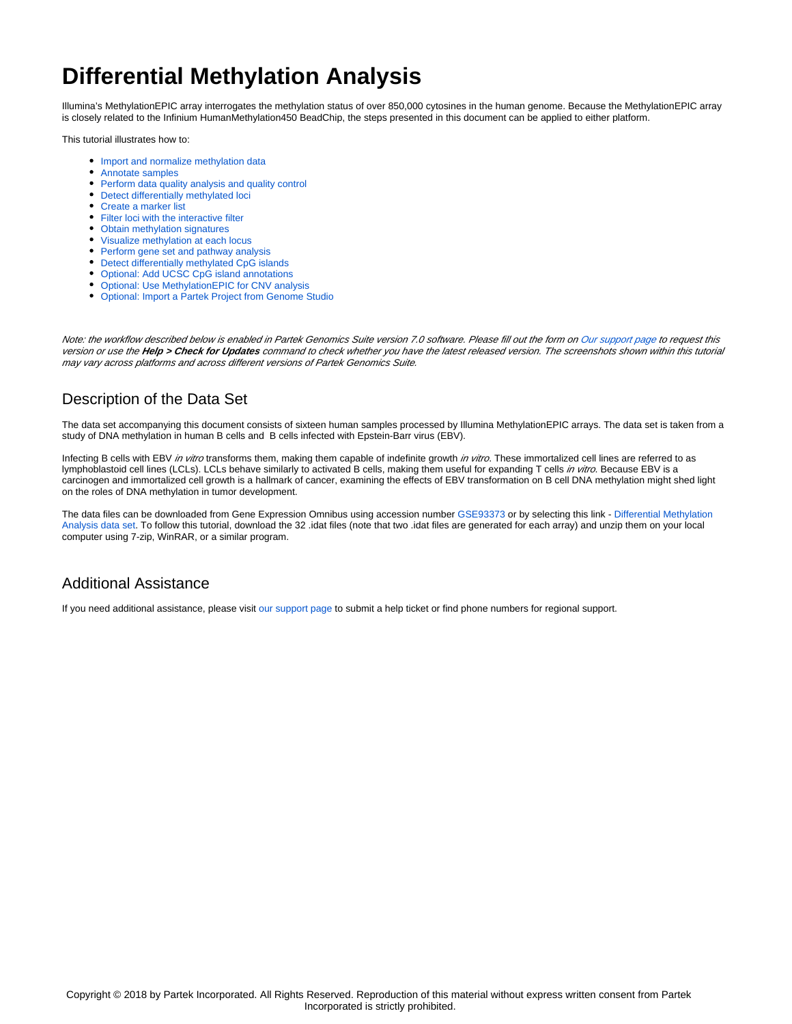## **Differential Methylation Analysis**

Illumina's MethylationEPIC array interrogates the methylation status of over 850,000 cytosines in the human genome. Because the MethylationEPIC array is closely related to the Infinium HumanMethylation450 BeadChip, the steps presented in this document can be applied to either platform.

This tutorial illustrates how to:

- [Import and normalize methylation data](https://documentation.partek.com/display/PGS/Import+and+normalize+methylation+data)
- [Annotate samples](https://documentation.partek.com/display/PGS/Annotate+samples)
- [Perform data quality analysis and quality control](https://documentation.partek.com/display/PGS/Perform+data+quality+analysis+and+quality+control)
- [Detect differentially methylated loci](https://documentation.partek.com/display/PGS/Detect+differentially+methylated+loci)
- [Create a marker list](https://documentation.partek.com/display/PGS/Create+a+marker+list)
- **•** [Filter loci with the interactive filter](https://documentation.partek.com/display/PGS/Filter+loci+with+the+interactive+filter)
- [Obtain methylation signatures](https://documentation.partek.com/display/PGS/Obtain+methylation+signatures)
- [Visualize methylation at each locus](https://documentation.partek.com/display/PGS/Visualize+methylation+at+each+locus)
- [Perform gene set and pathway analysis](https://documentation.partek.com/display/PGS/Perform+gene+set+and+pathway+analysis)
- [Detect differentially methylated CpG islands](https://documentation.partek.com/display/PGS/Detect+differentially+methylated+CpG+islands)
- [Optional: Add UCSC CpG island annotations](https://documentation.partek.com/display/PGS/Optional%3A+Add+UCSC+CpG+island+annotations)
- [Optional: Use MethylationEPIC for CNV analysis](https://documentation.partek.com/display/PGS/Optional%3A+Use+MethylationEPIC+for+CNV+analysis)
- [Optional: Import a Partek Project from Genome Studio](https://documentation.partek.com/display/PGS/Optional%3A++Import+a+Partek+Project+from+Genome+Studio)

Note: the workflow described below is enabled in Partek Genomics Suite version 7.0 software. Please fill out the form on [Our support page](http://www.partek.com/support) to request this version or use the **Help > Check for Updates** command to check whether you have the latest released version. The screenshots shown within this tutorial may vary across platforms and across different versions of Partek Genomics Suite.

## Description of the Data Set

The data set accompanying this document consists of sixteen human samples processed by Illumina MethylationEPIC arrays. The data set is taken from a study of DNA methylation in human B cells and B cells infected with Epstein-Barr virus (EBV).

Infecting B cells with EBV in vitro transforms them, making them capable of indefinite growth in vitro. These immortalized cell lines are referred to as lymphoblastoid cell lines (LCLs). LCLs behave similarly to activated B cells, making them useful for expanding T cells in vitro. Because EBV is a carcinogen and immortalized cell growth is a hallmark of cancer, examining the effects of EBV transformation on B cell DNA methylation might shed light on the roles of DNA methylation in tumor development.

The data files can be downloaded from Gene Expression Omnibus using accession number [GSE93373](https://www.ncbi.nlm.nih.gov/geo/query/acc.cgi?acc=GSE93373) or by selecting this link - [Differential Methylation](http://s3.amazonaws.com/partekmedia/tutorials/microarray/Differential-Methylation-Analysis.zip)  [Analysis data set.](http://s3.amazonaws.com/partekmedia/tutorials/microarray/Differential-Methylation-Analysis.zip) To follow this tutorial, download the 32 .idat files (note that two .idat files are generated for each array) and unzip them on your local computer using 7-zip, WinRAR, or a similar program.

## Additional Assistance

If you need additional assistance, please visit [our support page](http://www.partek.com/support) to submit a help ticket or find phone numbers for regional support.